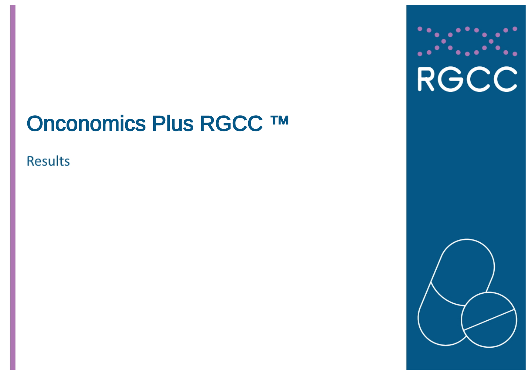# Onconomics Plus RGCC TM

**Results** 



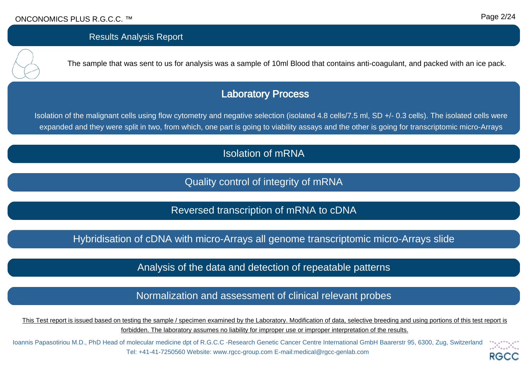

Isolation of mRNA

Quality control of integrity of mRNA

Reversed transcription of mRNA to cDNA

Hybridisation of cDNA with micro-Arrays all genome transcriptomic micro-Arrays slide

Analysis of the data and detection of repeatable patterns

Normalization and assessment of clinical relevant probes

This Test report is issued based on testing the sample / specimen examined by the Laboratory. Modification of data, selective breeding and using portions of this test report is forbidden. The laboratory assumes no liability for improper use or improper interpretation of the results.

Ioannis Papasotiriou M.D., PhD Head of molecular medicine dpt of R.G.C.C -Research Genetic Cancer Centre International GmbH Baarerstr 95, 6300, Zug, Switzerland Tel: +41-41-7250560 Website: www.rgcc-group.com E-mail:medical@rgcc-genlab.com RG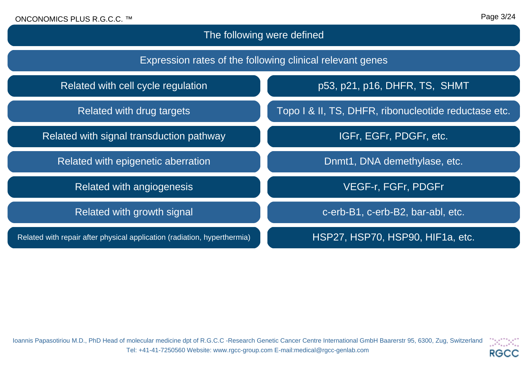# The following were defined

| Expression rates of the following clinical relevant genes                |                                                      |  |  |  |
|--------------------------------------------------------------------------|------------------------------------------------------|--|--|--|
| Related with cell cycle regulation                                       | p53, p21, p16, DHFR, TS, SHMT                        |  |  |  |
| Related with drug targets                                                | Topo I & II, TS, DHFR, ribonucleotide reductase etc. |  |  |  |
| Related with signal transduction pathway                                 | IGFr, EGFr, PDGFr, etc.                              |  |  |  |
| Related with epigenetic aberration                                       | Dnmt1, DNA demethylase, etc.                         |  |  |  |
| Related with angiogenesis                                                | <b>VEGF-r, FGFr, PDGFr</b>                           |  |  |  |
| Related with growth signal                                               | c-erb-B1, c-erb-B2, bar-abl, etc.                    |  |  |  |
| Related with repair after physical application (radiation, hyperthermia) | HSP27, HSP70, HSP90, HIF1a, etc.                     |  |  |  |

Ioannis Papasotiriou M.D., PhD Head of molecular medicine dpt of R.G.C.C -Research Genetic Cancer Centre International GmbH Baarerstr 95, 6300, Zug, Switzerland Tel: +41-41-7250560 Website: www.rgcc-group.com E-mail:medical@rgcc-genlab.com

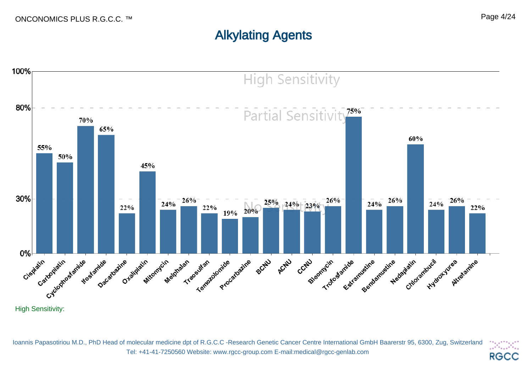# Alkylating Agents



Ioannis Papasotiriou M.D., PhD Head of molecular medicine dpt of R.G.C.C -Research Genetic Cancer Centre International GmbH Baarerstr 95, 6300, Zug, Switzerland DKDK. Tel: +41-41-7250560 Website: www.rgcc-group.com E-mail:medical@rgcc-genlab.com **RGCC**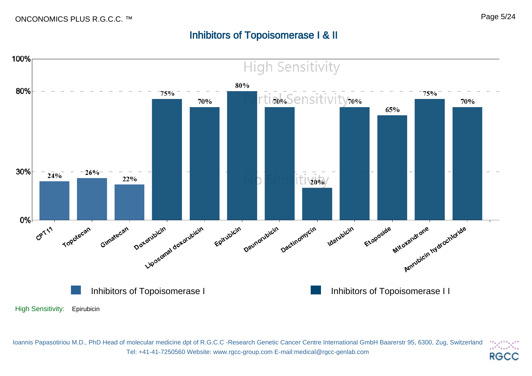#### Page 5/24

## Inhibitors of Topoisomerase I & II



Ioannis Papasotiriou M.D., PhD Head of molecular medicine dpt of R.G.C.C -Research Genetic Cancer Centre International GmbH Baarerstr 95, 6300, Zug, Switzerland DOM. Tel: +41-41-7250560 Website: www.rgcc-group.com E-mail:medical@rgcc-genlab.com **RGCC**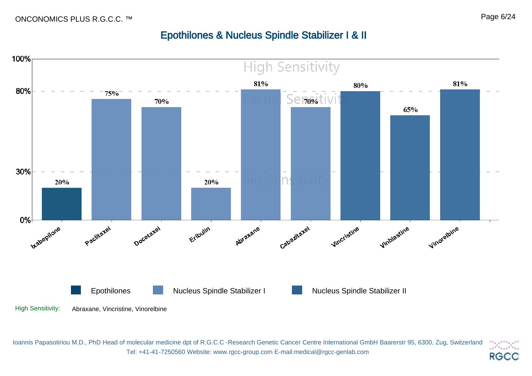# Epothilones & Nucleus Spindle Stabilizer I & II



Ioannis Papasotiriou M.D., PhD Head of molecular medicine dpt of R.G.C.C -Research Genetic Cancer Centre International GmbH Baarerstr 95, 6300, Zug, Switzerland DK 200 Tel: +41-41-7250560 Website: www.rgcc-group.com E-mail:medical@rgcc-genlab.com **RGCC**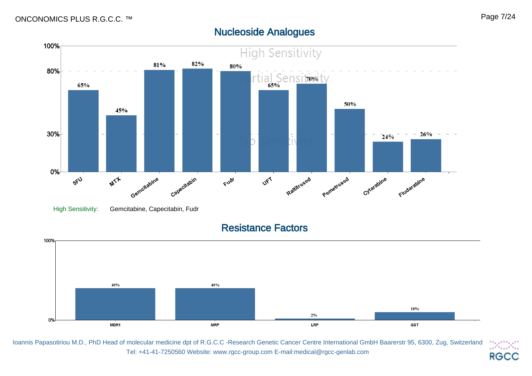#### 100% **High Sensitivity** 82% 81% 80% 80% rtial Sensitivit 65% 50% 45% 30%  $26%$  $\overline{24\overline{9}}$ 0% Raltitrexed Pernetrexed Cytarabine **MIT** Gemcitabine Capecitabin UFT Fludatabine Fudr SFU High Sensitivity: Gemcitabine, Capecitabin, Fudr

Nucleoside Analogues

Resistance Factors



Ioannis Papasotiriou M.D., PhD Head of molecular medicine dpt of R.G.C.C -Research Genetic Cancer Centre International GmbH Baarerstr 95, 6300, Zug, Switzerland DADA) Tel: +41-41-7250560 Website: www.rgcc-group.com E-mail:medical@rgcc-genlab.com **RGCC**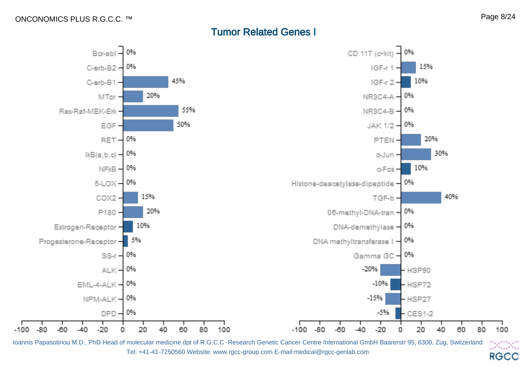$-100.$ 

## Tumor Related Genes I



Ioannis Papasotiriou M.D., PhD Head of molecular medicine dpt of R.G.C.C -Research Genetic Cancer Centre International GmbH Baarerstr 95, 6300, Zug, Switzerland DKDK. Tel: +41-41-7250560 Website: www.rgcc-group.com E-mail:medical@rgcc-genlab.com **RGCC**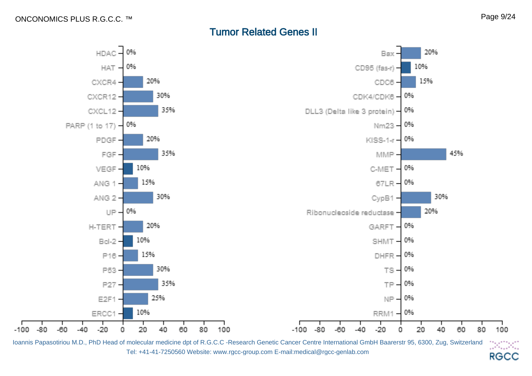$-100.$ 

## Tumor Related Genes II



Ioannis Papasotiriou M.D., PhD Head of molecular medicine dpt of R.G.C.C -Research Genetic Cancer Centre International GmbH Baarerstr 95, 6300, Zug, Switzerland DOM: Tel: +41-41-7250560 Website: www.rgcc-group.com E-mail:medical@rgcc-genlab.com **RGCC**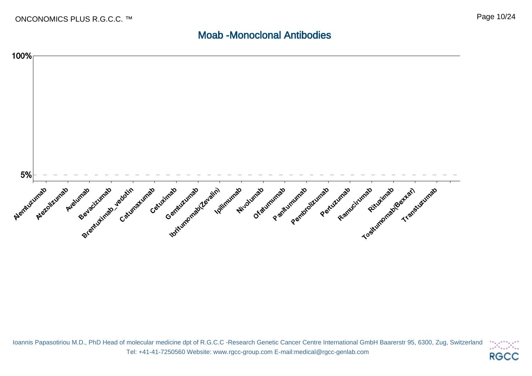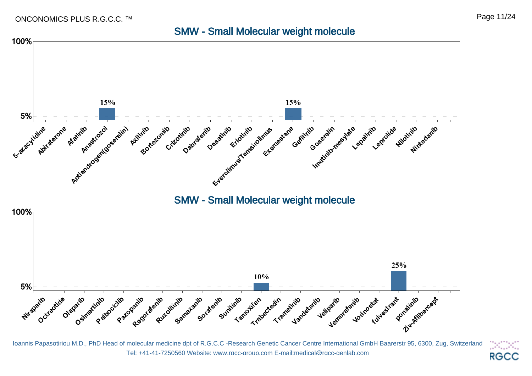### SMW - Small Molecular weight molecule



Ioannis Papasotiriou M.D., PhD Head of molecular medicine dpt of R.G.C.C -Research Genetic Cancer Centre International GmbH Baarerstr 95, 6300, Zug, Switzerland 34.X. Tel: +41-41-7250560 Website: www.rgcc-group.com E-mail:medical@rgcc-genlab.com **RGCC**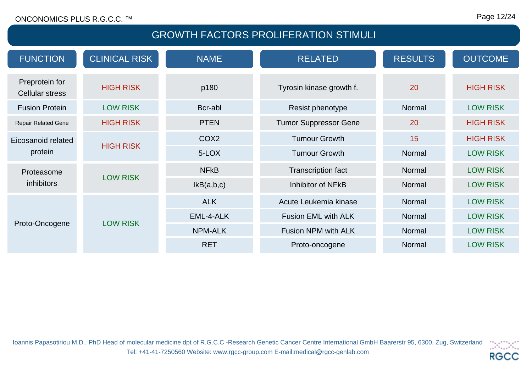## GROWTH FACTORS PROLIFERATION STIMULI

| <b>FUNCTION</b>                          | <b>CLINICAL RISK</b> | <b>NAME</b>           | <b>RELATED</b>               | <b>RESULTS</b>  | <b>OUTCOME</b>   |
|------------------------------------------|----------------------|-----------------------|------------------------------|-----------------|------------------|
| Preprotein for<br><b>Cellular stress</b> | <b>HIGH RISK</b>     | p180                  | Tyrosin kinase growth f.     | 20              | <b>HIGH RISK</b> |
| <b>Fusion Protein</b>                    | <b>LOW RISK</b>      | Bcr-abl               | Resist phenotype             | Normal          | <b>LOW RISK</b>  |
| <b>Repair Related Gene</b>               | <b>HIGH RISK</b>     | <b>PTEN</b>           | <b>Tumor Suppressor Gene</b> | 20              | <b>HIGH RISK</b> |
| Eicosanoid related                       |                      | COX <sub>2</sub>      | <b>Tumour Growth</b>         | 15              | <b>HIGH RISK</b> |
| <b>HIGH RISK</b><br>protein              | 5-LOX                | <b>Tumour Growth</b>  | Normal                       | <b>LOW RISK</b> |                  |
| Proteasome                               |                      | <b>NFKB</b>           | <b>Transcription fact</b>    | Normal          | <b>LOW RISK</b>  |
| <b>LOW RISK</b><br>inhibitors            | IkB(a,b,c)           | Inhibitor of NFkB     | Normal                       | <b>LOW RISK</b> |                  |
| <b>LOW RISK</b><br>Proto-Oncogene        | <b>ALK</b>           | Acute Leukemia kinase | Normal                       | <b>LOW RISK</b> |                  |
|                                          |                      | EML-4-ALK             | <b>Fusion EML with ALK</b>   | Normal          | <b>LOW RISK</b>  |
|                                          |                      | <b>NPM-ALK</b>        | Fusion NPM with ALK          | Normal          | <b>LOW RISK</b>  |
|                                          |                      | <b>RET</b>            | Proto-oncogene               | Normal          | <b>LOW RISK</b>  |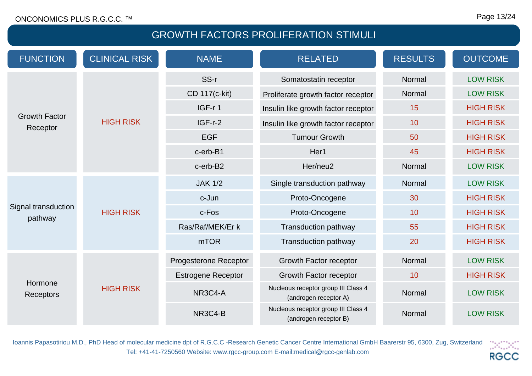# GROWTH FACTORS PROLIFERATION STIMULI

| <b>FUNCTION</b>                  | <b>CLINICAL RISK</b> | <b>NAME</b>                        | <b>RELATED</b>                                               | <b>RESULTS</b>  | <b>OUTCOME</b>   |
|----------------------------------|----------------------|------------------------------------|--------------------------------------------------------------|-----------------|------------------|
|                                  |                      | SS-r                               | Somatostatin receptor                                        | Normal          | <b>LOW RISK</b>  |
|                                  | CD 117(c-kit)        | Proliferate growth factor receptor | Normal                                                       | <b>LOW RISK</b> |                  |
|                                  |                      | IGF-r1                             | Insulin like growth factor receptor                          | 15              | <b>HIGH RISK</b> |
| <b>Growth Factor</b><br>Receptor | <b>HIGH RISK</b>     | $IGF-r-2$                          | Insulin like growth factor receptor                          | 10              | <b>HIGH RISK</b> |
|                                  |                      | <b>EGF</b>                         | <b>Tumour Growth</b>                                         | 50              | <b>HIGH RISK</b> |
|                                  |                      | c-erb-B1                           | Her1                                                         | 45              | <b>HIGH RISK</b> |
|                                  |                      | c-erb-B2                           | Her/neu2                                                     | Normal          | <b>LOW RISK</b>  |
|                                  |                      | <b>JAK 1/2</b>                     | Single transduction pathway                                  | Normal          | <b>LOW RISK</b>  |
|                                  |                      | c-Jun                              | Proto-Oncogene                                               | 30              | <b>HIGH RISK</b> |
| Signal transduction<br>pathway   | <b>HIGH RISK</b>     | c-Fos                              | Proto-Oncogene                                               | 10              | <b>HIGH RISK</b> |
|                                  |                      | Ras/Raf/MEK/Er k                   | <b>Transduction pathway</b>                                  | 55              | <b>HIGH RISK</b> |
|                                  |                      | m <sub>T</sub> OR                  | <b>Transduction pathway</b>                                  | 20              | <b>HIGH RISK</b> |
|                                  |                      | Progesterone Receptor              | Growth Factor receptor                                       | Normal          | <b>LOW RISK</b>  |
|                                  |                      | <b>Estrogene Receptor</b>          | Growth Factor receptor                                       | 10              | <b>HIGH RISK</b> |
| Hormone<br>Receptors             | <b>HIGH RISK</b>     | NR3C4-A                            | Nucleous receptor group III Class 4<br>(androgen receptor A) | Normal          | <b>LOW RISK</b>  |
|                                  |                      | NR3C4-B                            | Nucleous receptor group III Class 4<br>(androgen receptor B) | Normal          | <b>LOW RISK</b>  |

Ioannis Papasotiriou M.D., PhD Head of molecular medicine dpt of R.G.C.C -Research Genetic Cancer Centre International GmbH Baarerstr 95, 6300, Zug, Switzerland  $\left\langle \left\langle \mathcal{H}_{\alpha} \right\rangle \right\rangle \left\langle \mathcal{H}_{\alpha} \right\rangle$ Tel: +41-41-7250560 Website: www.rgcc-group.com E-mail:medical@rgcc-genlab.com **RGCC**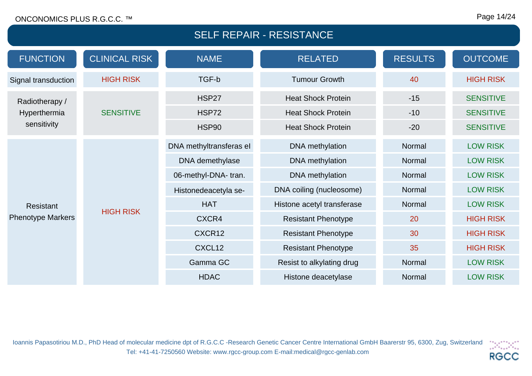#### Page 14/24

| <b>SELF REPAIR - RESISTANCE</b> |                         |                           |                            |                  |                  |
|---------------------------------|-------------------------|---------------------------|----------------------------|------------------|------------------|
| <b>FUNCTION</b>                 | <b>CLINICAL RISK</b>    | <b>NAME</b>               | <b>RELATED</b>             | <b>RESULTS</b>   | <b>OUTCOME</b>   |
| Signal transduction             | <b>HIGH RISK</b>        | TGF-b                     | <b>Tumour Growth</b>       | 40               | <b>HIGH RISK</b> |
| Radiotherapy /                  | <b>HSP27</b>            | <b>Heat Shock Protein</b> | $-15$                      | <b>SENSITIVE</b> |                  |
| Hyperthermia                    | <b>SENSITIVE</b>        | <b>HSP72</b>              | <b>Heat Shock Protein</b>  | $-10$            | <b>SENSITIVE</b> |
| sensitivity                     |                         | <b>HSP90</b>              | <b>Heat Shock Protein</b>  | $-20$            | <b>SENSITIVE</b> |
|                                 | DNA methyltransferas el | DNA methylation           | Normal                     | <b>LOW RISK</b>  |                  |
|                                 |                         | DNA demethylase           | DNA methylation            | Normal           | <b>LOW RISK</b>  |
|                                 |                         | 06-methyl-DNA-tran.       | DNA methylation            | Normal           | <b>LOW RISK</b>  |
|                                 |                         | Histonedeacetyla se-      | DNA coiling (nucleosome)   | Normal           | <b>LOW RISK</b>  |
| <b>Resistant</b>                | <b>HIGH RISK</b>        | <b>HAT</b>                | Histone acetyl transferase | Normal           | <b>LOW RISK</b>  |
| <b>Phenotype Markers</b>        |                         | CXCR4                     | <b>Resistant Phenotype</b> | 20               | <b>HIGH RISK</b> |
|                                 |                         | CXCR12                    | <b>Resistant Phenotype</b> | 30               | <b>HIGH RISK</b> |
|                                 |                         | CXCL12                    | <b>Resistant Phenotype</b> | 35               | <b>HIGH RISK</b> |
|                                 |                         | Gamma GC                  | Resist to alkylating drug  | Normal           | <b>LOW RISK</b>  |
|                                 |                         | <b>HDAC</b>               | Histone deacetylase        | Normal           | <b>LOW RISK</b>  |

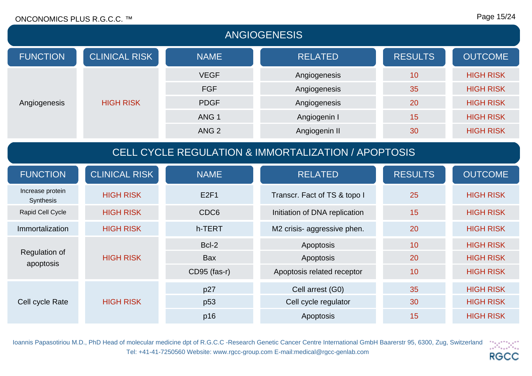#### Page 15/24

| <b>ANGIOGENESIS</b>                                 |                      |                            |                               |                  |                  |
|-----------------------------------------------------|----------------------|----------------------------|-------------------------------|------------------|------------------|
| <b>FUNCTION</b>                                     | <b>CLINICAL RISK</b> | <b>NAME</b>                | <b>RELATED</b>                | <b>RESULTS</b>   | <b>OUTCOME</b>   |
|                                                     |                      | <b>VEGF</b>                | Angiogenesis                  | 10               | <b>HIGH RISK</b> |
|                                                     |                      | <b>FGF</b>                 | Angiogenesis                  | 35               | <b>HIGH RISK</b> |
| Angiogenesis                                        | <b>HIGH RISK</b>     | <b>PDGF</b>                | Angiogenesis                  | 20               | <b>HIGH RISK</b> |
|                                                     |                      | ANG <sub>1</sub>           | Angiogenin I                  | 15               | <b>HIGH RISK</b> |
|                                                     |                      | ANG <sub>2</sub>           | Angiogenin II                 | 30               | <b>HIGH RISK</b> |
| CELL CYCLE REGULATION & IMMORTALIZATION / APOPTOSIS |                      |                            |                               |                  |                  |
| <b>FUNCTION</b>                                     | <b>CLINICAL RISK</b> | <b>NAME</b>                | <b>RELATED</b>                | <b>RESULTS</b>   | <b>OUTCOME</b>   |
| Increase protein<br>Synthesis                       | <b>HIGH RISK</b>     | E2F1                       | Transcr. Fact of TS & topo I  | 25               | <b>HIGH RISK</b> |
| Rapid Cell Cycle                                    | <b>HIGH RISK</b>     | CDC6                       | Initiation of DNA replication | 15               | <b>HIGH RISK</b> |
| Immortalization                                     | <b>HIGH RISK</b>     | h-TERT                     | M2 crisis- aggressive phen.   | 20               | <b>HIGH RISK</b> |
|                                                     |                      | Bcl-2                      | Apoptosis                     | 10               | <b>HIGH RISK</b> |
| <b>Regulation of</b><br>apoptosis                   | <b>HIGH RISK</b>     | <b>Bax</b>                 | Apoptosis                     | 20               | <b>HIGH RISK</b> |
|                                                     | CD95 (fas-r)         | Apoptosis related receptor | 10                            | <b>HIGH RISK</b> |                  |
|                                                     |                      | p27                        | Cell arrest (G0)              | 35               | <b>HIGH RISK</b> |
| Cell cycle Rate                                     | <b>HIGH RISK</b>     | p <sub>53</sub>            | Cell cycle regulator          | 30               | <b>HIGH RISK</b> |
|                                                     |                      | p16                        | Apoptosis                     | 15               | <b>HIGH RISK</b> |

Ioannis Papasotiriou M.D., PhD Head of molecular medicine dpt of R.G.C.C -Research Genetic Cancer Centre International GmbH Baarerstr 95, 6300, Zug, Switzerland  $\frac{1}{2}$ Tel: +41-41-7250560 Website: www.rgcc-group.com E-mail:medical@rgcc-genlab.com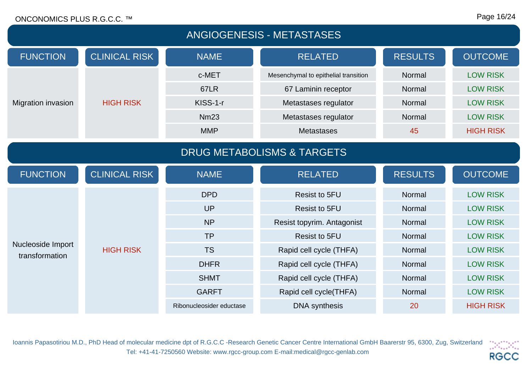| <b>ANGIOGENESIS - METASTASES</b>      |                      |                          |                                      |                |                  |
|---------------------------------------|----------------------|--------------------------|--------------------------------------|----------------|------------------|
| <b>FUNCTION</b>                       | <b>CLINICAL RISK</b> | <b>NAME</b>              | <b>RELATED</b>                       | <b>RESULTS</b> | <b>OUTCOME</b>   |
|                                       |                      | c-MET                    | Mesenchymal to epithelial transition | Normal         | <b>LOW RISK</b>  |
|                                       |                      | <b>67LR</b>              | 67 Laminin receptor                  | Normal         | <b>LOW RISK</b>  |
| <b>Migration invasion</b>             | <b>HIGH RISK</b>     | KISS-1-r                 | Metastases regulator                 | Normal         | <b>LOW RISK</b>  |
|                                       |                      | <b>Nm23</b>              | Metastases regulator                 | Normal         | <b>LOW RISK</b>  |
|                                       |                      | <b>MMP</b>               | <b>Metastases</b>                    | 45             | <b>HIGH RISK</b> |
| <b>DRUG METABOLISMS &amp; TARGETS</b> |                      |                          |                                      |                |                  |
| <b>FUNCTION</b>                       | <b>CLINICAL RISK</b> | <b>NAME</b>              | <b>RELATED</b>                       | <b>RESULTS</b> | <b>OUTCOME</b>   |
|                                       |                      | <b>DPD</b>               | <b>Resist to 5FU</b>                 | Normal         | <b>LOW RISK</b>  |
|                                       |                      | <b>UP</b>                | <b>Resist to 5FU</b>                 | Normal         | <b>LOW RISK</b>  |
|                                       |                      | <b>NP</b>                | Resist topyrim. Antagonist           | Normal         | <b>LOW RISK</b>  |
|                                       |                      | <b>TP</b>                | <b>Resist to 5FU</b>                 | Normal         | <b>LOW RISK</b>  |
| Nucleoside Import<br>transformation   | <b>HIGH RISK</b>     | <b>TS</b>                | Rapid cell cycle (THFA)              | Normal         | <b>LOW RISK</b>  |
|                                       |                      | <b>DHFR</b>              | Rapid cell cycle (THFA)              | Normal         | <b>LOW RISK</b>  |
|                                       |                      | <b>SHMT</b>              | Rapid cell cycle (THFA)              | Normal         | <b>LOW RISK</b>  |
|                                       |                      | <b>GARFT</b>             | Rapid cell cycle(THFA)               | Normal         | <b>LOW RISK</b>  |
|                                       |                      | Ribonucleosider eductase | <b>DNA</b> synthesis                 | 20             | <b>HIGH RISK</b> |

Ioannis Papasotiriou M.D., PhD Head of molecular medicine dpt of R.G.C.C -Research Genetic Cancer Centre International GmbH Baarerstr 95, 6300, Zug, Switzerland  $\left\langle \mathcal{S}_{\alpha\beta}^{\alpha\beta}\mathcal{S}_{\alpha\beta}^{\beta\beta}\right\rangle$ Tel: +41-41-7250560 Website: www.rgcc-group.com E-mail:medical@rgcc-genlab.com **RGCC**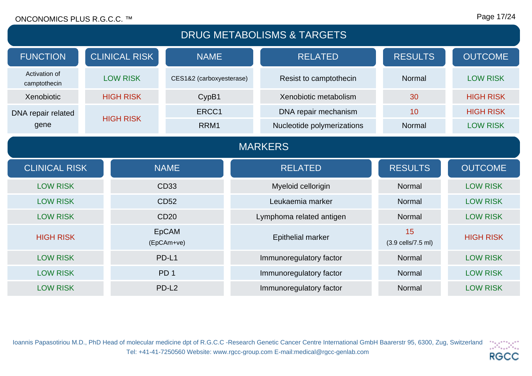#### Page 17/24

| <b>DRUG METABOLISMS &amp; TARGETS</b> |  |                      |                            |                            |                          |                  |
|---------------------------------------|--|----------------------|----------------------------|----------------------------|--------------------------|------------------|
| <b>FUNCTION</b>                       |  | <b>CLINICAL RISK</b> | <b>NAME</b>                | <b>RELATED</b>             | <b>RESULTS</b>           | <b>OUTCOME</b>   |
| Activation of<br>camptothecin         |  | <b>LOW RISK</b>      | CES1&2 (carboxyesterase)   | Resist to camptothecin     | Normal                   | <b>LOW RISK</b>  |
| Xenobiotic                            |  | <b>HIGH RISK</b>     | CypB1                      | Xenobiotic metabolism      | 30                       | <b>HIGH RISK</b> |
| DNA repair related                    |  | <b>HIGH RISK</b>     | ERCC1                      | DNA repair mechanism       | 10                       | <b>HIGH RISK</b> |
| gene                                  |  |                      | RRM1                       | Nucleotide polymerizations | Normal                   | <b>LOW RISK</b>  |
| <b>MARKERS</b>                        |  |                      |                            |                            |                          |                  |
|                                       |  |                      |                            |                            |                          |                  |
| <b>CLINICAL RISK</b>                  |  |                      | <b>NAME</b>                | <b>RELATED</b>             | <b>RESULTS</b>           | <b>OUTCOME</b>   |
| <b>LOW RISK</b>                       |  |                      | CD33                       | Myeloid cellorigin         | Normal                   | <b>LOW RISK</b>  |
| <b>LOW RISK</b>                       |  |                      | <b>CD52</b>                | Leukaemia marker           | Normal                   | <b>LOW RISK</b>  |
| <b>LOW RISK</b>                       |  |                      | <b>CD20</b>                | Lymphoma related antigen   | Normal                   | <b>LOW RISK</b>  |
| <b>HIGH RISK</b>                      |  |                      | <b>EpCAM</b><br>(EpCAm+ve) | <b>Epithelial marker</b>   | 15<br>(3.9 cells/7.5 ml) | <b>HIGH RISK</b> |
| <b>LOW RISK</b>                       |  |                      | PD-L1                      | Immunoregulatory factor    | Normal                   | <b>LOW RISK</b>  |
| <b>LOW RISK</b>                       |  |                      | PD <sub>1</sub>            | Immunoregulatory factor    | Normal                   | <b>LOW RISK</b>  |

Ioannis Papasotiriou M.D., PhD Head of molecular medicine dpt of R.G.C.C -Research Genetic Cancer Centre International GmbH Baarerstr 95, 6300, Zug, Switzerland  $\left\langle \mathcal{M}_{\alpha\beta}^{\alpha\beta}\mathcal{M}_{\alpha\beta}^{\beta}\right\rangle$ Tel: +41-41-7250560 Website: www.rgcc-group.com E-mail:medical@rgcc-genlab.com **RGCC**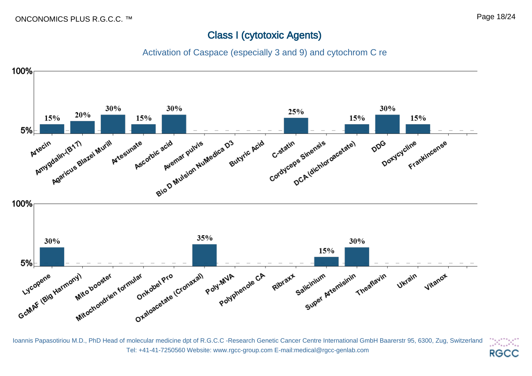## Class I (cytotoxic Agents)

Activation of Caspace (especially 3 and 9) and cytochrom C re



Ioannis Papasotiriou M.D., PhD Head of molecular medicine dpt of R.G.C.C -Research Genetic Cancer Centre International GmbH Baarerstr 95, 6300, Zug, Switzerland Tel: +41-41-7250560 Website: www.rgcc-group.com E-mail:medical@rgcc-genlab.com

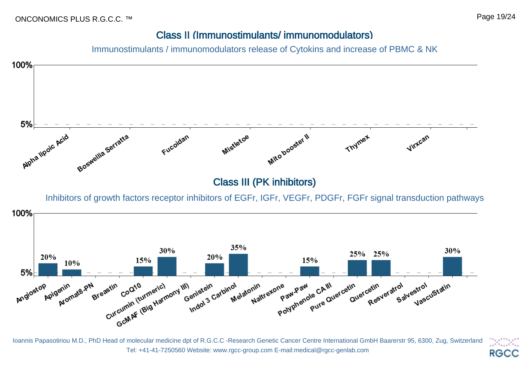#### Page 19/24

## Class II (Immunostimulants/ immunomodulators)

Immunostimulants / immunomodulators release of Cytokins and increase of PBMC & NK



Ioannis Papasotiriou M.D., PhD Head of molecular medicine dpt of R.G.C.C -Research Genetic Cancer Centre International GmbH Baarerstr 95, 6300, Zug, Switzerland Tel: +41-41-7250560 Website: www.rgcc-group.com E-mail:medical@rgcc-genlab.com **RGCC**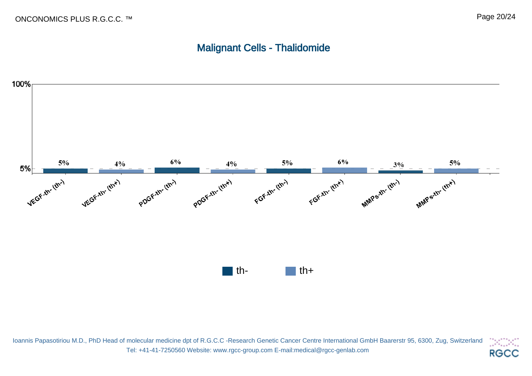## Malignant Cells - Thalidomide



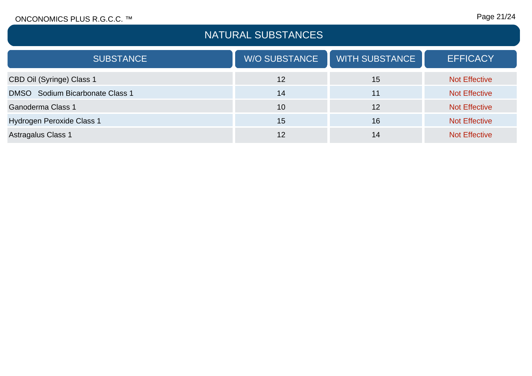# NATURAL SUBSTANCES

| <b>SUBSTANCE</b>                | <b>W/O SUBSTANCE</b> | <b>WITH SUBSTANCE</b> | <b>EFFICACY</b>      |
|---------------------------------|----------------------|-----------------------|----------------------|
| CBD Oil (Syringe) Class 1       | 12                   | 15                    | <b>Not Effective</b> |
| DMSO Sodium Bicarbonate Class 1 | 14                   | 11                    | <b>Not Effective</b> |
| <b>Ganoderma Class 1</b>        | 10                   | 12                    | <b>Not Effective</b> |
| Hydrogen Peroxide Class 1       | 15                   | 16                    | <b>Not Effective</b> |
| <b>Astragalus Class 1</b>       | 12                   | 14                    | <b>Not Effective</b> |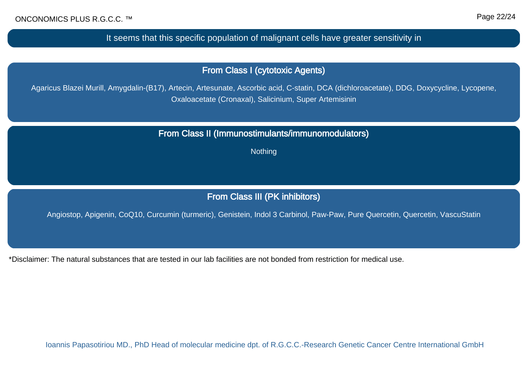It seems that this specific population of malignant cells have greater sensitivity in

From Class I (cytotoxic Agents)

Agaricus Blazei Murill, Amygdalin-(B17), Artecin, Artesunate, Ascorbic acid, C-statin, DCA (dichloroacetate), DDG, Doxycycline, Lycopene, Oxaloacetate (Cronaxal), Salicinium, Super Artemisinin

From Class II (Immunostimulants/immunomodulators)

**Nothing** 

## From Class III (PK inhibitors)

Angiostop, Apigenin, CoQ10, Curcumin (turmeric), Genistein, Indol 3 Carbinol, Paw-Paw, Pure Quercetin, Quercetin, VascuStatin

\*Disclaimer: The natural substances that are tested in our lab facilities are not bonded from restriction for medical use.

Ioannis Papasotiriou MD., PhD Head of molecular medicine dpt. of R.G.C.C.-Research Genetic Cancer Centre International GmbH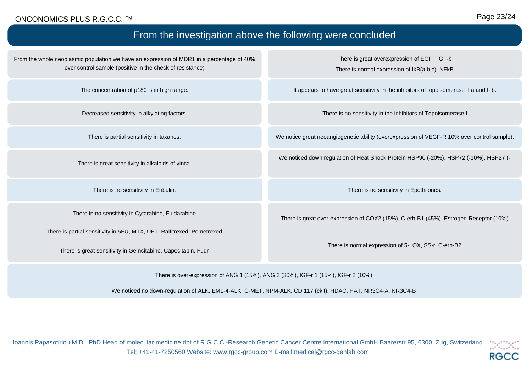#### Page 23/24

| From the investigation above the following were concluded                                                                                              |                                                                                               |  |  |  |
|--------------------------------------------------------------------------------------------------------------------------------------------------------|-----------------------------------------------------------------------------------------------|--|--|--|
| From the whole neoplasmic population we have an expression of MDR1 in a percentage of 40%<br>over control sample (positive in the check of resistance) | There is great overexpression of EGF, TGF-b<br>There is normal expression of IkB(a,b,c), NFkB |  |  |  |
| The concentration of p180 is in high range.                                                                                                            | It appears to have great sensitivity in the inhibitors of topoisomerase II a and II b.        |  |  |  |
| Decreased sensitivity in alkylating factors.                                                                                                           | There is no sensitivity in the inhibitors of Topoisomerase I                                  |  |  |  |
| There is partial sensitivity in taxanes.                                                                                                               | We notice great neoangiogenetic ability (overexpression of VEGF-R 10% over control sample).   |  |  |  |
| There is great sensitivity in alkaloids of vinca.                                                                                                      | We noticed down regulation of Heat Shock Protein HSP90 (-20%), HSP72 (-10%), HSP27 (-         |  |  |  |
| There is no sensitivity in Eribulin.                                                                                                                   | There is no sensitivity in Epothilones.                                                       |  |  |  |
| There in no sensitivity in Cytarabine, Fludarabine                                                                                                     | There is great over-expression of COX2 (15%), C-erb-B1 (45%), Estrogen-Receptor (10%)         |  |  |  |
| There is partial sensitivity in 5FU, MTX, UFT, Raltitrexed, Pemetrexed<br>There is great sensitivity in Gemcitabine, Capecitabin, Fudr                 | There is normal expression of 5-LOX, SS-r, C-erb-B2                                           |  |  |  |

There is over-expression of ANG 1 (15%), ANG 2 (30%), IGF-r 1 (15%), IGF-r 2 (10%)

We noticed no down-regulation of ALK, EML-4-ALK, C-MET, NPM-ALK, CD 117 (ckit), HDAC, HAT, NR3C4-A, NR3C4-B

Ioannis Papasotiriou M.D., PhD Head of molecular medicine dpt of R.G.C.C -Research Genetic Cancer Centre International GmbH Baarerstr 95, 6300, Zug, Switzerland Tel: +41-41-7250560 Website: www.rgcc-group.com E-mail:medical@rgcc-genlab.com